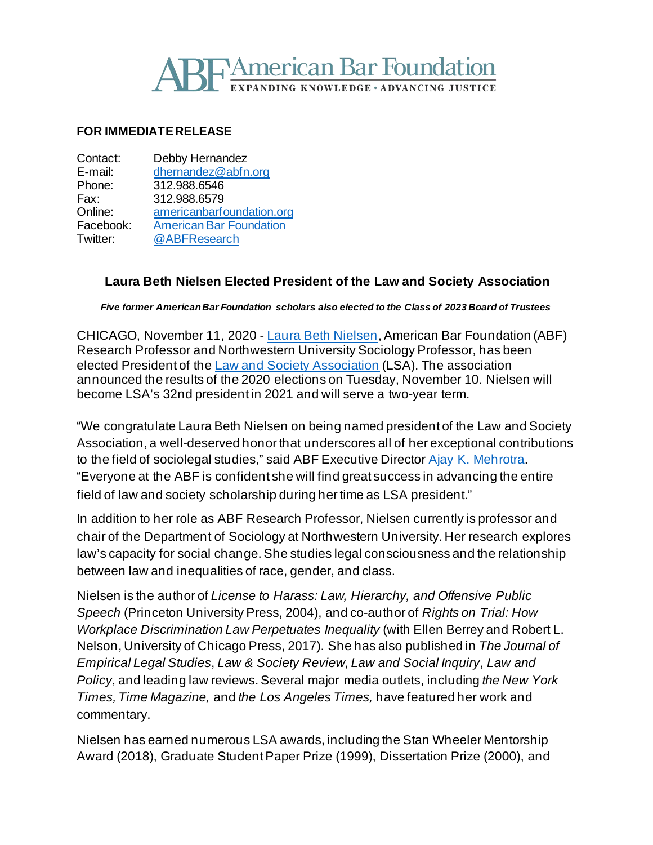# **SE American Bar Foundation NG KNOWLEDGE • ADVANCING JUSTICE**

### **FOR IMMEDIATE RELEASE**

| Debby Hernandez                |
|--------------------------------|
| dhernandez@abfn.org            |
| 312.988.6546                   |
| 312.988.6579                   |
| americanbarfoundation.org      |
| <b>American Bar Foundation</b> |
| @ABFResearch                   |
|                                |

# **Laura Beth Nielsen Elected President of the Law and Society Association**

*Five former American Bar Foundation scholars also elected to the Class of 2023 Board of Trustees*

CHICAGO, November 11, 2020 - [Laura Beth Nielsen,](http://www.americanbarfoundation.org/faculty/profile/20) American Bar Foundation (ABF) Research Professor and Northwestern University Sociology Professor, has been elected President of the [Law and Society Association](https://www.lawandsociety.org/) (LSA). The association announced the results of the 2020 elections on Tuesday, November 10. Nielsen will become LSA's 32nd president in 2021 and will serve a two-year term.

"We congratulate Laura Beth Nielsen on being named president of the Law and Society Association, a well-deserved honor that underscores all of her exceptional contributions to the field of sociolegal studies," said ABF Executive Director [Ajay K. Mehrotra.](http://www.americanbarfoundation.org/faculty/profile/46) "Everyone at the ABF is confident she will find great success in advancing the entire field of law and society scholarship during her time as LSA president."

In addition to her role as ABF Research Professor, Nielsen currently is professor and chair of the Department of Sociology at Northwestern University. Her research explores law's capacity for social change. She studies legal consciousness and the relationship between law and inequalities of race, gender, and class.

Nielsen is the author of *License to Harass: Law, Hierarchy, and Offensive Public Speech* (Princeton University Press, 2004), and co-author of *Rights on Trial: How Workplace Discrimination Law Perpetuates Inequality* (with Ellen Berrey and Robert L. Nelson, University of Chicago Press, 2017). She has also published in *The Journal of Empirical Legal Studies*, *Law & Society Review*, *Law and Social Inquiry*, *Law and Policy*, and leading law reviews.Several major media outlets, including *the New York Times, Time Magazine,* and *the Los Angeles Times,* have featured her work and commentary.

Nielsen has earned numerous LSA awards, including the Stan Wheeler Mentorship Award (2018), Graduate Student Paper Prize (1999), Dissertation Prize (2000), and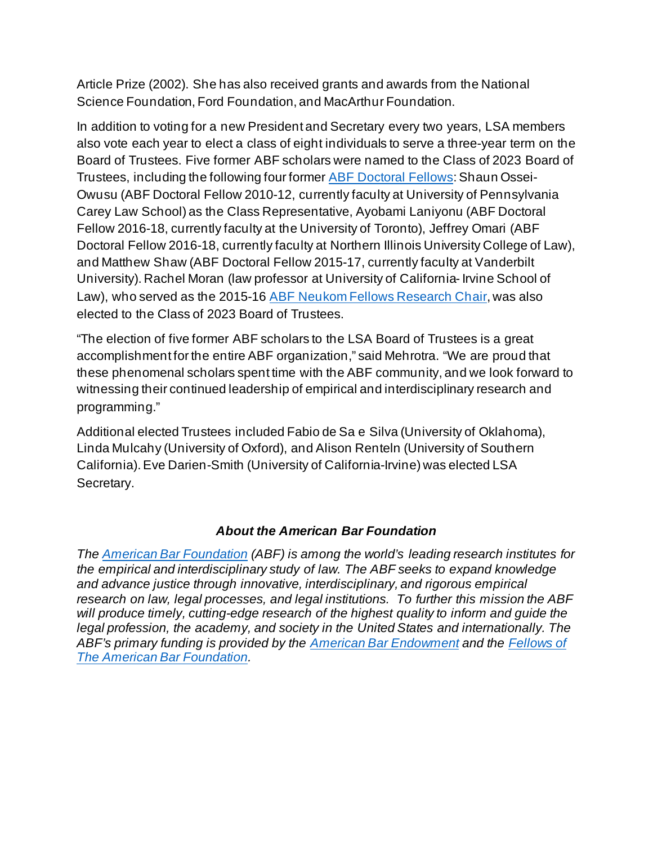Article Prize (2002). She has also received grants and awards from the National Science Foundation, Ford Foundation, and MacArthur Foundation.

In addition to voting for a new President and Secretary every two years, LSA members also vote each year to elect a class of eight individuals to serve a three-year term on the Board of Trustees. Five former ABF scholars were named to the Class of 2023 Board of Trustees, including the following four former [ABF Doctoral Fellows:](http://www.americanbarfoundation.org/research/Fellowshipopportunities.html)Shaun Ossei-Owusu (ABF Doctoral Fellow 2010-12, currently faculty at University of Pennsylvania Carey Law School) as the Class Representative, Ayobami Laniyonu (ABF Doctoral Fellow 2016-18, currently faculty at the University of Toronto), Jeffrey Omari (ABF Doctoral Fellow 2016-18, currently faculty at Northern Illinois University College of Law), and Matthew Shaw (ABF Doctoral Fellow 2015-17, currently faculty at Vanderbilt University). Rachel Moran (law professor at University of California-Irvine School of Law), who served as the 2015-16 [ABF Neukom Fellows Research Chair,](http://www.americanbarfoundation.org/faculty/ResearchCommunity/William_H__Neukom_Fellows_Research_Chair_in_Diversity_and_Law.html) was also elected to the Class of 2023 Board of Trustees.

"The election of five former ABF scholars to the LSA Board of Trustees is a great accomplishment for the entire ABF organization," said Mehrotra. "We are proud that these phenomenal scholars spent time with the ABF community, and we look forward to witnessing their continued leadership of empirical and interdisciplinary research and programming."

Additional elected Trustees included Fabio de Sa e Silva (University of Oklahoma), Linda Mulcahy (University of Oxford), and Alison Renteln (University of Southern California). Eve Darien-Smith (University of California-Irvine) was elected LSA Secretary.

# *About the American Bar Foundation*

*The [American Bar Foundation](http://www.americanbarfoundation.org/index.html) (ABF) is among the world's leading research institutes for the empirical and interdisciplinary study of law. The ABF seeks to expand knowledge and advance justice through innovative, interdisciplinary, and rigorous empirical research on law, legal processes, and legal institutions. To further this mission the ABF will produce timely, cutting-edge research of the highest quality to inform and guide the legal profession, the academy, and society in the United States and internationally. The ABF's primary funding is provided by the [American Bar Endowment](http://www.abendowment.org/) and the [Fellows of](http://www.americanbarfoundation.org/fellows/index.html)  [The American Bar Foundation.](http://www.americanbarfoundation.org/fellows/index.html)*